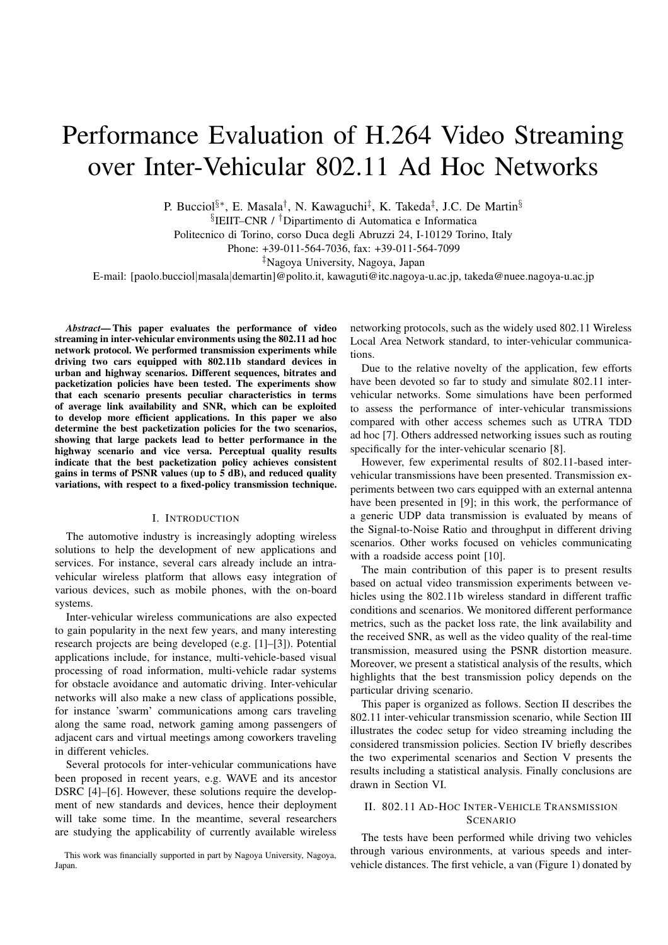# Performance Evaluation of H.264 Video Streaming over Inter-Vehicular 802.11 Ad Hoc Networks

P. Bucciol<sup>§∗</sup>, E. Masala<sup>†</sup>, N. Kawaguchi<sup>‡</sup>, K. Takeda<sup>‡</sup>, J.C. De Martin<sup>§</sup>

§ IEIIT–CNR / †Dipartimento di Automatica e Informatica

Politecnico di Torino, corso Duca degli Abruzzi 24, I-10129 Torino, Italy

Phone: +39-011-564-7036, fax: +39-011-564-7099

‡Nagoya University, Nagoya, Japan

E-mail: [paolo.bucciol|masala|demartin]@polito.it, kawaguti@itc.nagoya-u.ac.jp, takeda@nuee.nagoya-u.ac.jp

*Abstract*— This paper evaluates the performance of video streaming in inter-vehicular environments using the 802.11 ad hoc network protocol. We performed transmission experiments while driving two cars equipped with 802.11b standard devices in urban and highway scenarios. Different sequences, bitrates and packetization policies have been tested. The experiments show that each scenario presents peculiar characteristics in terms of average link availability and SNR, which can be exploited to develop more efficient applications. In this paper we also determine the best packetization policies for the two scenarios, showing that large packets lead to better performance in the highway scenario and vice versa. Perceptual quality results indicate that the best packetization policy achieves consistent gains in terms of PSNR values (up to 5 dB), and reduced quality variations, with respect to a fixed-policy transmission technique.

# I. INTRODUCTION

The automotive industry is increasingly adopting wireless solutions to help the development of new applications and services. For instance, several cars already include an intravehicular wireless platform that allows easy integration of various devices, such as mobile phones, with the on-board systems.

Inter-vehicular wireless communications are also expected to gain popularity in the next few years, and many interesting research projects are being developed (e.g. [1]–[3]). Potential applications include, for instance, multi-vehicle-based visual processing of road information, multi-vehicle radar systems for obstacle avoidance and automatic driving. Inter-vehicular networks will also make a new class of applications possible, for instance 'swarm' communications among cars traveling along the same road, network gaming among passengers of adjacent cars and virtual meetings among coworkers traveling in different vehicles.

Several protocols for inter-vehicular communications have been proposed in recent years, e.g. WAVE and its ancestor DSRC [4]–[6]. However, these solutions require the development of new standards and devices, hence their deployment will take some time. In the meantime, several researchers are studying the applicability of currently available wireless

This work was financially supported in part by Nagoya University, Nagoya, Japan.

networking protocols, such as the widely used 802.11 Wireless Local Area Network standard, to inter-vehicular communications.

Due to the relative novelty of the application, few efforts have been devoted so far to study and simulate 802.11 intervehicular networks. Some simulations have been performed to assess the performance of inter-vehicular transmissions compared with other access schemes such as UTRA TDD ad hoc [7]. Others addressed networking issues such as routing specifically for the inter-vehicular scenario [8].

However, few experimental results of 802.11-based intervehicular transmissions have been presented. Transmission experiments between two cars equipped with an external antenna have been presented in [9]; in this work, the performance of a generic UDP data transmission is evaluated by means of the Signal-to-Noise Ratio and throughput in different driving scenarios. Other works focused on vehicles communicating with a roadside access point [10].

The main contribution of this paper is to present results based on actual video transmission experiments between vehicles using the 802.11b wireless standard in different traffic conditions and scenarios. We monitored different performance metrics, such as the packet loss rate, the link availability and the received SNR, as well as the video quality of the real-time transmission, measured using the PSNR distortion measure. Moreover, we present a statistical analysis of the results, which highlights that the best transmission policy depends on the particular driving scenario.

This paper is organized as follows. Section II describes the 802.11 inter-vehicular transmission scenario, while Section III illustrates the codec setup for video streaming including the considered transmission policies. Section IV briefly describes the two experimental scenarios and Section V presents the results including a statistical analysis. Finally conclusions are drawn in Section VI.

# II. 802.11 AD-HOC INTER-VEHICLE TRANSMISSION **SCENARIO**

The tests have been performed while driving two vehicles through various environments, at various speeds and intervehicle distances. The first vehicle, a van (Figure 1) donated by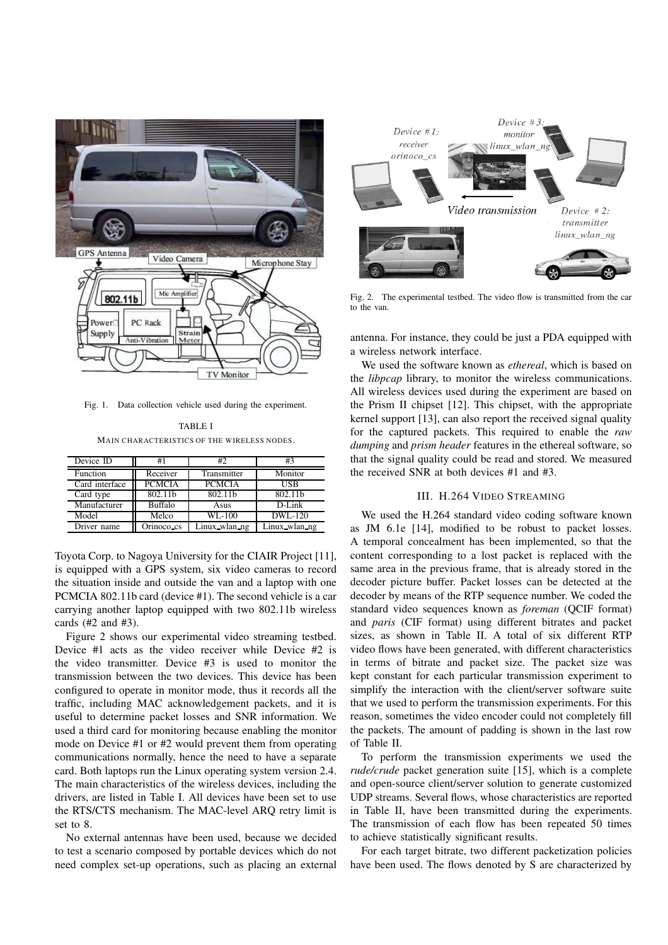

Fig. 1. Data collection vehicle used during the experiment.

TABLE I MAIN CHARACTERISTICS OF THE WIRELESS NODES.

| Device ID      | #1             | #2            | #3            |
|----------------|----------------|---------------|---------------|
| Function       | Receiver       | Transmitter   | Monitor       |
| Card interface | <b>PCMCIA</b>  | <b>PCMCIA</b> | USB           |
| Card type      | 802.11b        | 802.11b       | 802.11b       |
| Manufacturer   | <b>Buffalo</b> | Asus          | D-Link        |
| Model          | Melco          | WL-100        | DWL-120       |
| Driver name    | Orinoco_cs     | Linux wlan ng | Linux wlan ng |

Toyota Corp. to Nagoya University for the CIAIR Project [11], is equipped with a GPS system, six video cameras to record the situation inside and outside the van and a laptop with one PCMCIA 802.11b card (device #1). The second vehicle is a car carrying another laptop equipped with two 802.11b wireless cards (#2 and #3).

Figure 2 shows our experimental video streaming testbed. Device #1 acts as the video receiver while Device #2 is the video transmitter. Device #3 is used to monitor the transmission between the two devices. This device has been configured to operate in monitor mode, thus it records all the traffic, including MAC acknowledgement packets, and it is useful to determine packet losses and SNR information. We used a third card for monitoring because enabling the monitor mode on Device #1 or #2 would prevent them from operating communications normally, hence the need to have a separate card. Both laptops run the Linux operating system version 2.4. The main characteristics of the wireless devices, including the drivers, are listed in Table I. All devices have been set to use the RTS/CTS mechanism. The MAC-level ARQ retry limit is set to 8.

No external antennas have been used, because we decided to test a scenario composed by portable devices which do not need complex set-up operations, such as placing an external



Fig. 2. The experimental testbed. The video flow is transmitted from the car to the van.

antenna. For instance, they could be just a PDA equipped with a wireless network interface.

We used the software known as *ethereal*, which is based on the *libpcap* library, to monitor the wireless communications. All wireless devices used during the experiment are based on the Prism II chipset [12]. This chipset, with the appropriate kernel support [13], can also report the received signal quality for the captured packets. This required to enable the *raw dumping* and *prism header* features in the ethereal software, so that the signal quality could be read and stored. We measured the received SNR at both devices #1 and #3.

# III. H.264 VIDEO STREAMING

We used the H.264 standard video coding software known as JM 6.1e [14], modified to be robust to packet losses. A temporal concealment has been implemented, so that the content corresponding to a lost packet is replaced with the same area in the previous frame, that is already stored in the decoder picture buffer. Packet losses can be detected at the decoder by means of the RTP sequence number. We coded the standard video sequences known as *foreman* (QCIF format) and *paris* (CIF format) using different bitrates and packet sizes, as shown in Table II. A total of six different RTP video flows have been generated, with different characteristics in terms of bitrate and packet size. The packet size was kept constant for each particular transmission experiment to simplify the interaction with the client/server software suite that we used to perform the transmission experiments. For this reason, sometimes the video encoder could not completely fill the packets. The amount of padding is shown in the last row of Table II.

To perform the transmission experiments we used the *rude/crude* packet generation suite [15], which is a complete and open-source client/server solution to generate customized UDP streams. Several flows, whose characteristics are reported in Table II, have been transmitted during the experiments. The transmission of each flow has been repeated 50 times to achieve statistically significant results.

For each target bitrate, two different packetization policies have been used. The flows denoted by S are characterized by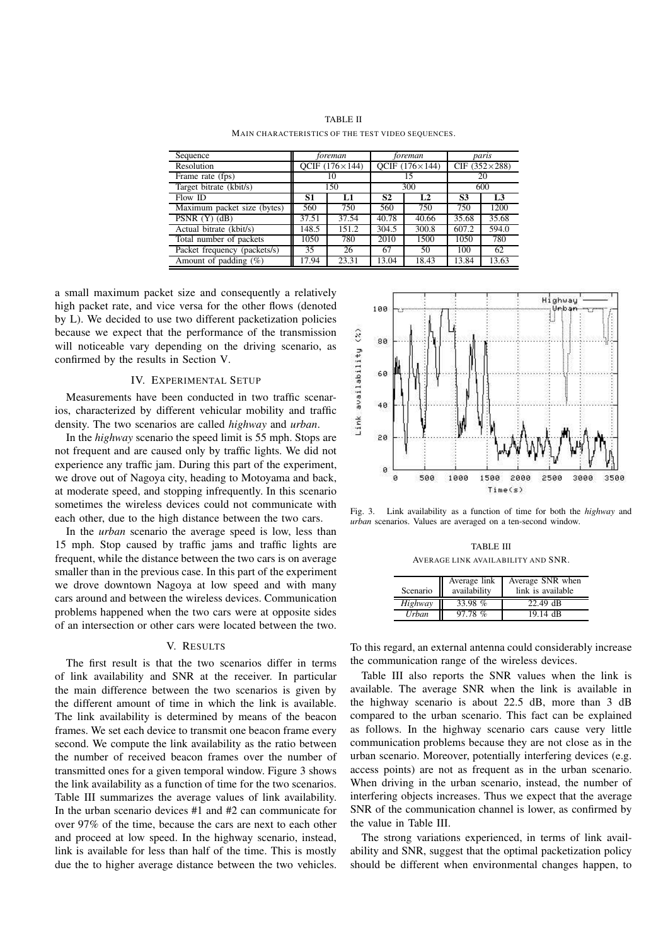| Sequence                     |       | foreman                 |                | foreman               |       | paris                |
|------------------------------|-------|-------------------------|----------------|-----------------------|-------|----------------------|
| Resolution                   |       | OCIF $(176 \times 144)$ |                | QCIF $(176\times144)$ |       | CIF $(352\times288)$ |
| Frame rate (fps)             |       | 10                      |                | 15                    |       | 20                   |
| Target bitrate (kbit/s)      |       | 150                     |                | 300                   |       | 600                  |
| Flow ID                      | S1    | L1                      | S <sub>2</sub> | L2                    | S3    | L <sub>3</sub>       |
| Maximum packet size (bytes)  | 560   | 750                     | 560            | 750                   | 750   | 1200                 |
| PSNR $(Y)$ $(dB)$            | 37.51 | 37.54                   | 40.78          | 40.66                 | 35.68 | 35.68                |
| Actual bitrate (kbit/s)      | 148.5 | 151.2                   | 304.5          | 300.8                 | 607.2 | 594.0                |
| Total number of packets      | 1050  | 780                     | 2010           | 1500                  | 1050  | 780                  |
| Packet frequency (packets/s) | 35    | 26                      | 67             | 50                    | 100   | 62                   |
| Amount of padding $(\% )$    | 17.94 | 23.31                   | 13.04          | 18.43                 | 13.84 | 13.63                |

TABLE II MAIN CHARACTERISTICS OF THE TEST VIDEO SEQUENCES.

a small maximum packet size and consequently a relatively high packet rate, and vice versa for the other flows (denoted by L). We decided to use two different packetization policies because we expect that the performance of the transmission will noticeable vary depending on the driving scenario, as confirmed by the results in Section V.

# IV. EXPERIMENTAL SETUP

Measurements have been conducted in two traffic scenarios, characterized by different vehicular mobility and traffic density. The two scenarios are called *highway* and *urban*.

In the *highway* scenario the speed limit is 55 mph. Stops are not frequent and are caused only by traffic lights. We did not experience any traffic jam. During this part of the experiment, we drove out of Nagoya city, heading to Motoyama and back, at moderate speed, and stopping infrequently. In this scenario sometimes the wireless devices could not communicate with each other, due to the high distance between the two cars.

In the *urban* scenario the average speed is low, less than 15 mph. Stop caused by traffic jams and traffic lights are frequent, while the distance between the two cars is on average smaller than in the previous case. In this part of the experiment we drove downtown Nagoya at low speed and with many cars around and between the wireless devices. Communication problems happened when the two cars were at opposite sides of an intersection or other cars were located between the two.

### V. RESULTS

The first result is that the two scenarios differ in terms of link availability and SNR at the receiver. In particular the main difference between the two scenarios is given by the different amount of time in which the link is available. The link availability is determined by means of the beacon frames. We set each device to transmit one beacon frame every second. We compute the link availability as the ratio between the number of received beacon frames over the number of transmitted ones for a given temporal window. Figure 3 shows the link availability as a function of time for the two scenarios. Table III summarizes the average values of link availability. In the urban scenario devices #1 and #2 can communicate for over 97% of the time, because the cars are next to each other and proceed at low speed. In the highway scenario, instead, link is available for less than half of the time. This is mostly due the to higher average distance between the two vehicles.



Fig. 3. Link availability as a function of time for both the *highway* and *urban* scenarios. Values are averaged on a ten-second window.

TABLE III AVERAGE LINK AVAILABILITY AND SNR.

| Scenario | Average link<br>availability | Average SNR when<br>link is available |
|----------|------------------------------|---------------------------------------|
| Highway  | 33.98 %                      | 22.49 dB                              |
| Urban    | 97.78%                       | 19.14 dB                              |

To this regard, an external antenna could considerably increase the communication range of the wireless devices.

Table III also reports the SNR values when the link is available. The average SNR when the link is available in the highway scenario is about 22.5 dB, more than 3 dB compared to the urban scenario. This fact can be explained as follows. In the highway scenario cars cause very little communication problems because they are not close as in the urban scenario. Moreover, potentially interfering devices (e.g. access points) are not as frequent as in the urban scenario. When driving in the urban scenario, instead, the number of interfering objects increases. Thus we expect that the average SNR of the communication channel is lower, as confirmed by the value in Table III.

The strong variations experienced, in terms of link availability and SNR, suggest that the optimal packetization policy should be different when environmental changes happen, to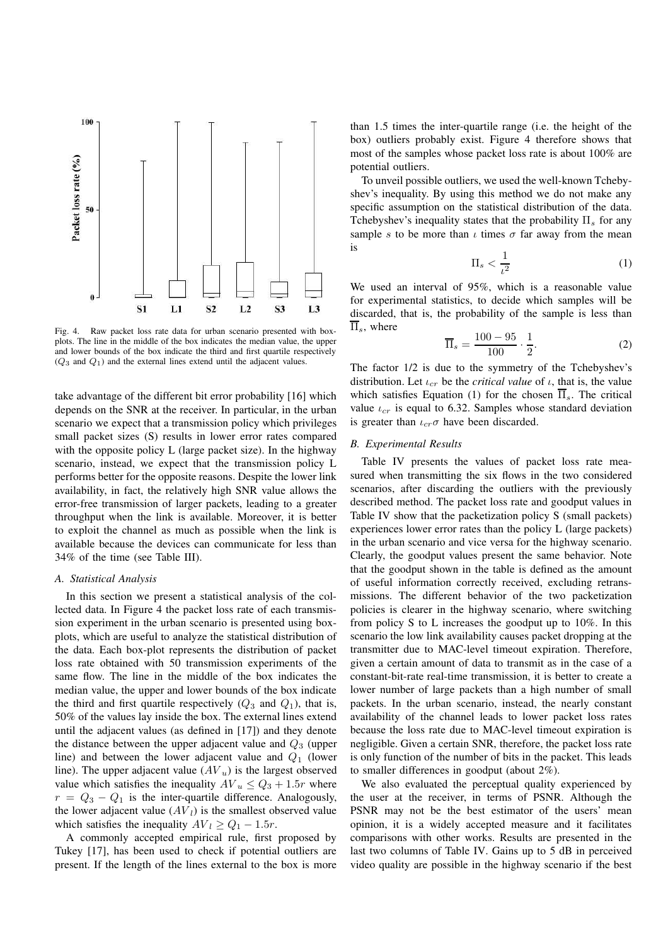

Fig. 4. Raw packet loss rate data for urban scenario presented with boxplots. The line in the middle of the box indicates the median value, the upper and lower bounds of the box indicate the third and first quartile respectively  $(Q_3$  and  $Q_1$ ) and the external lines extend until the adjacent values.

take advantage of the different bit error probability [16] which depends on the SNR at the receiver. In particular, in the urban scenario we expect that a transmission policy which privileges small packet sizes (S) results in lower error rates compared with the opposite policy L (large packet size). In the highway scenario, instead, we expect that the transmission policy L performs better for the opposite reasons. Despite the lower link availability, in fact, the relatively high SNR value allows the error-free transmission of larger packets, leading to a greater throughput when the link is available. Moreover, it is better to exploit the channel as much as possible when the link is available because the devices can communicate for less than 34% of the time (see Table III).

#### *A. Statistical Analysis*

In this section we present a statistical analysis of the collected data. In Figure 4 the packet loss rate of each transmission experiment in the urban scenario is presented using boxplots, which are useful to analyze the statistical distribution of the data. Each box-plot represents the distribution of packet loss rate obtained with 50 transmission experiments of the same flow. The line in the middle of the box indicates the median value, the upper and lower bounds of the box indicate the third and first quartile respectively  $(Q_3 \text{ and } Q_1)$ , that is, 50% of the values lay inside the box. The external lines extend until the adjacent values (as defined in [17]) and they denote the distance between the upper adjacent value and  $Q_3$  (upper line) and between the lower adjacent value and  $Q_1$  (lower line). The upper adjacent value  $(AV_u)$  is the largest observed value which satisfies the inequality  $AV_u \n\leq Q_3 + 1.5r$  where  $r = Q_3 - Q_1$  is the inter-quartile difference. Analogously, the lower adjacent value  $(AV_l)$  is the smallest observed value which satisfies the inequality  $AV_l \geq Q_1 - 1.5r$ .

A commonly accepted empirical rule, first proposed by Tukey [17], has been used to check if potential outliers are present. If the length of the lines external to the box is more than 1.5 times the inter-quartile range (i.e. the height of the box) outliers probably exist. Figure 4 therefore shows that most of the samples whose packet loss rate is about 100% are potential outliers.

To unveil possible outliers, we used the well-known Tchebyshev's inequality. By using this method we do not make any specific assumption on the statistical distribution of the data. Tchebyshev's inequality states that the probability  $\Pi_s$  for any sample s to be more than  $\iota$  times  $\sigma$  far away from the mean is

$$
\Pi_s < \frac{1}{\iota^2} \tag{1}
$$

We used an interval of 95%, which is a reasonable value for experimental statistics, to decide which samples will be discarded, that is, the probability of the sample is less than  $\overline{\Pi}_s$ , where

$$
\overline{\Pi}_s = \frac{100 - 95}{100} \cdot \frac{1}{2}.
$$
 (2)

The factor 1/2 is due to the symmetry of the Tchebyshev's distribution. Let  $\iota_{cr}$  be the *critical value* of  $\iota$ , that is, the value which satisfies Equation (1) for the chosen  $\overline{\Pi}_s$ . The critical value  $\iota_{cr}$  is equal to 6.32. Samples whose standard deviation is greater than  $\iota_{cr}\sigma$  have been discarded.

#### *B. Experimental Results*

Table IV presents the values of packet loss rate measured when transmitting the six flows in the two considered scenarios, after discarding the outliers with the previously described method. The packet loss rate and goodput values in Table IV show that the packetization policy S (small packets) experiences lower error rates than the policy L (large packets) in the urban scenario and vice versa for the highway scenario. Clearly, the goodput values present the same behavior. Note that the goodput shown in the table is defined as the amount of useful information correctly received, excluding retransmissions. The different behavior of the two packetization policies is clearer in the highway scenario, where switching from policy S to L increases the goodput up to 10%. In this scenario the low link availability causes packet dropping at the transmitter due to MAC-level timeout expiration. Therefore, given a certain amount of data to transmit as in the case of a constant-bit-rate real-time transmission, it is better to create a lower number of large packets than a high number of small packets. In the urban scenario, instead, the nearly constant availability of the channel leads to lower packet loss rates because the loss rate due to MAC-level timeout expiration is negligible. Given a certain SNR, therefore, the packet loss rate is only function of the number of bits in the packet. This leads to smaller differences in goodput (about 2%).

We also evaluated the perceptual quality experienced by the user at the receiver, in terms of PSNR. Although the PSNR may not be the best estimator of the users' mean opinion, it is a widely accepted measure and it facilitates comparisons with other works. Results are presented in the last two columns of Table IV. Gains up to 5 dB in perceived video quality are possible in the highway scenario if the best